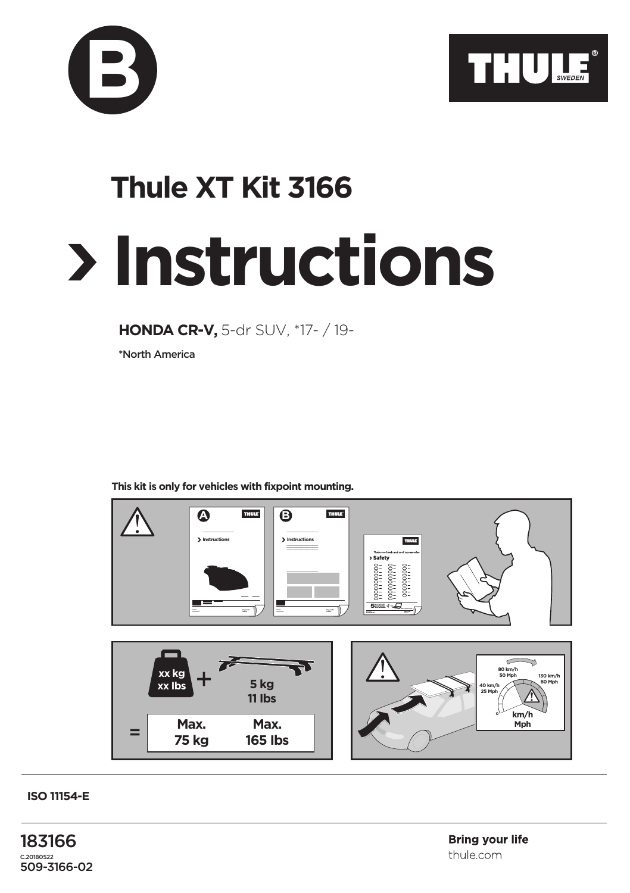



## **Instructions Thule XT Kit 3166**

**HONDA CR-V,** 5-dr SUV, \*17- / 19-

\*North America

**This kit is only for vehicles with fixpoint mounting.**



**ISO 11154-E**

183166 C.20180522 509-3166-02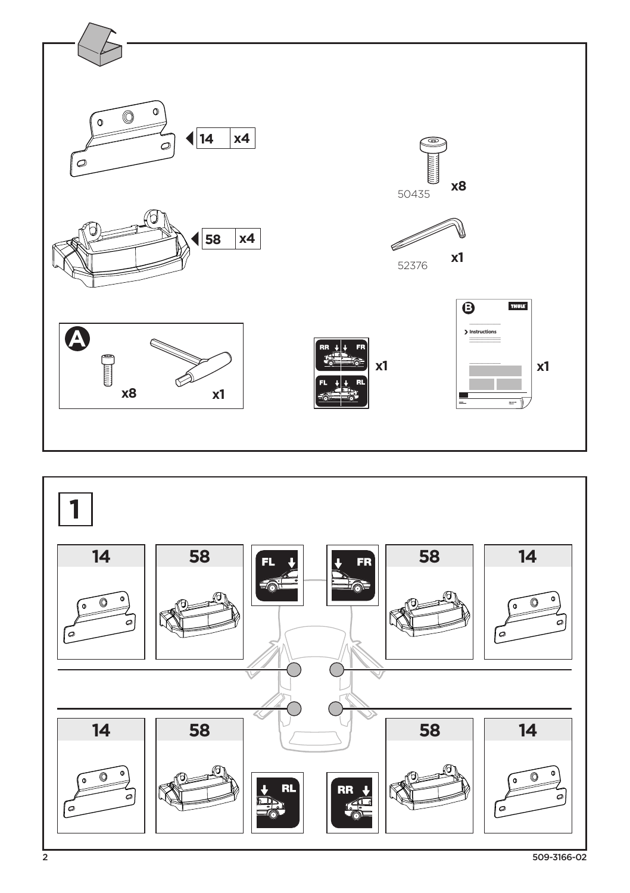

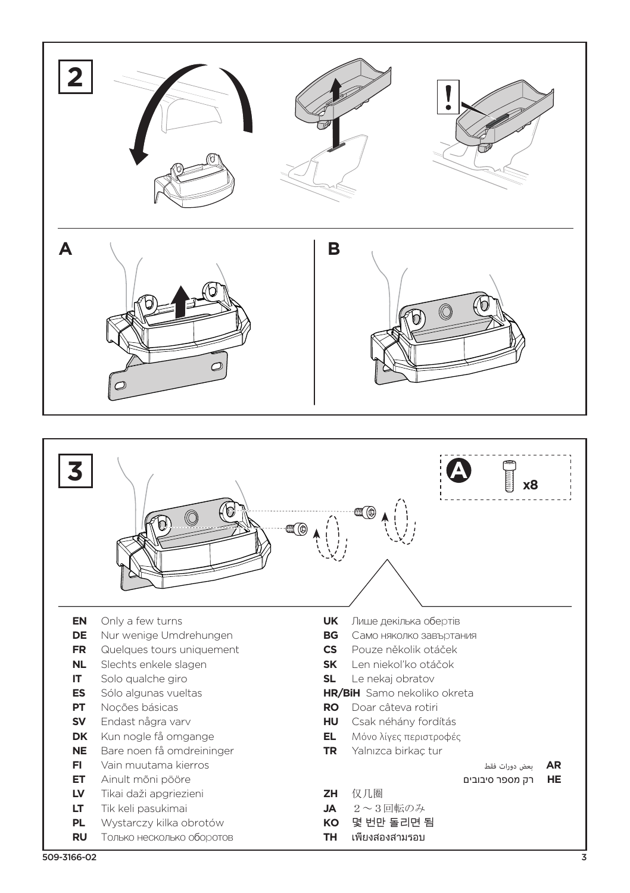



- **EN** Only a few turns<br>**DE** Nur wenige Umc
- **DE** Nur wenige Umdrehungen
- **FR** Quelques tours uniquement
- **NL** Slechts enkele slagen
- **IT** Solo qualche giro
- **ES** Sólo algunas vueltas<br>**PT** Nocões básicas
- **PT** Noções básicas
- **SV** Endast några varv
- **DK** Kun nogle få omgange
- **NE** Bare noen få omdreininger
- **FI** Vain muutama kierros
- **ET** Ainult mõni pööre
- **LV** Tikai daži apgriezieni
- **LT** Tik keli pasukimai
- **PL** Wystarczy kilka obrotów
- **RU** Только несколько оборотов
- **UK** Лише декілька обертів
- **BG** Само няколко завъртания
- **CS** Pouze několik otáček
- **SK** Len niekol'ko otáčok
- **SL** Le nekaj obratov
- **HR/BiH** Samo nekoliko okreta
- **RO** Doar câteva rotiri
- **HU** Csak néhány fordítás
- **EL** Μόνο λίγες περιστροφές
- **TR** Yalnızca birkaç tur
- **AR** بعض دورات فقط
- **HE** רק מספר סיבובים
- **ZH** 仅几圈
- **JA** 2~3回転のみ
- **KO** 몇 번만 돌리면 됨
- **TH** เพียงสองสามรอบ